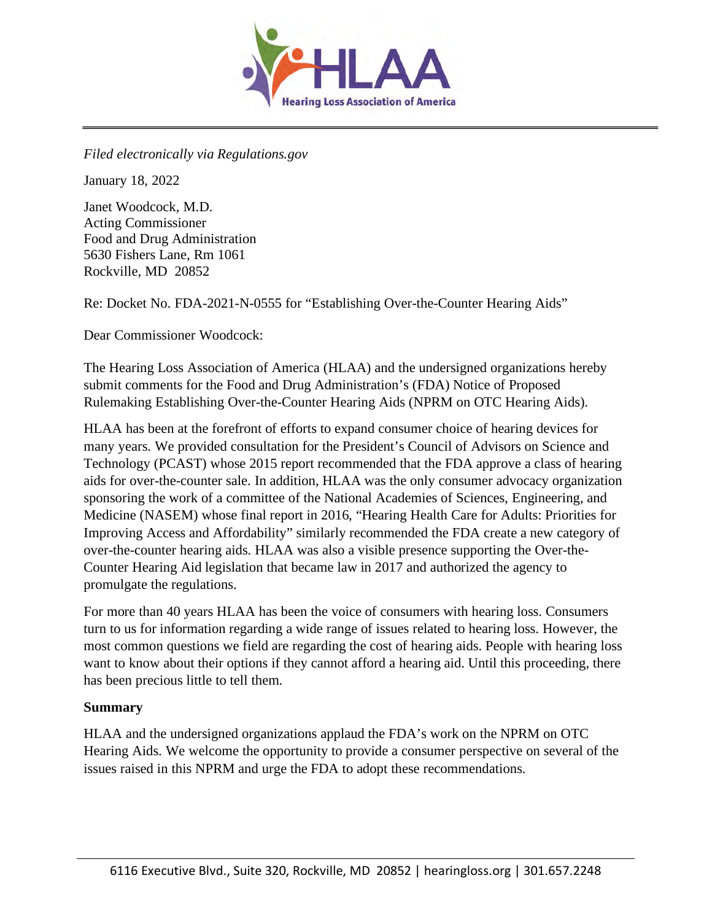

*Filed electronically via Regulations.gov* 

January 18, 2022

Janet Woodcock, M.D. Acting Commissioner Food and Drug Administration 5630 Fishers Lane, Rm 1061 Rockville, MD 20852

Re: Docket No. FDA-2021-N-0555 for "Establishing Over-the-Counter Hearing Aids"

Dear Commissioner Woodcock:

The Hearing Loss Association of America (HLAA) and the undersigned organizations hereby submit comments for the Food and Drug Administration's (FDA) Notice of Proposed Rulemaking Establishing Over-the-Counter Hearing Aids (NPRM on OTC Hearing Aids).

HLAA has been at the forefront of efforts to expand consumer choice of hearing devices for many years. We provided consultation for the President's Council of Advisors on Science and Technology (PCAST) whose 2015 report recommended that the FDA approve a class of hearing aids for over-the-counter sale. In addition, HLAA was the only consumer advocacy organization sponsoring the work of a committee of the National Academies of Sciences, Engineering, and Medicine (NASEM) whose final report in 2016, "Hearing Health Care for Adults: Priorities for Improving Access and Affordability" similarly recommended the FDA create a new category of over-the-counter hearing aids. HLAA was also a visible presence supporting the Over-the-Counter Hearing Aid legislation that became law in 2017 and authorized the agency to promulgate the regulations.

For more than 40 years HLAA has been the voice of consumers with hearing loss. Consumers turn to us for information regarding a wide range of issues related to hearing loss. However, the most common questions we field are regarding the cost of hearing aids. People with hearing loss want to know about their options if they cannot afford a hearing aid. Until this proceeding, there has been precious little to tell them.

#### **Summary**

HLAA and the undersigned organizations applaud the FDA's work on the NPRM on OTC Hearing Aids. We welcome the opportunity to provide a consumer perspective on several of the issues raised in this NPRM and urge the FDA to adopt these recommendations.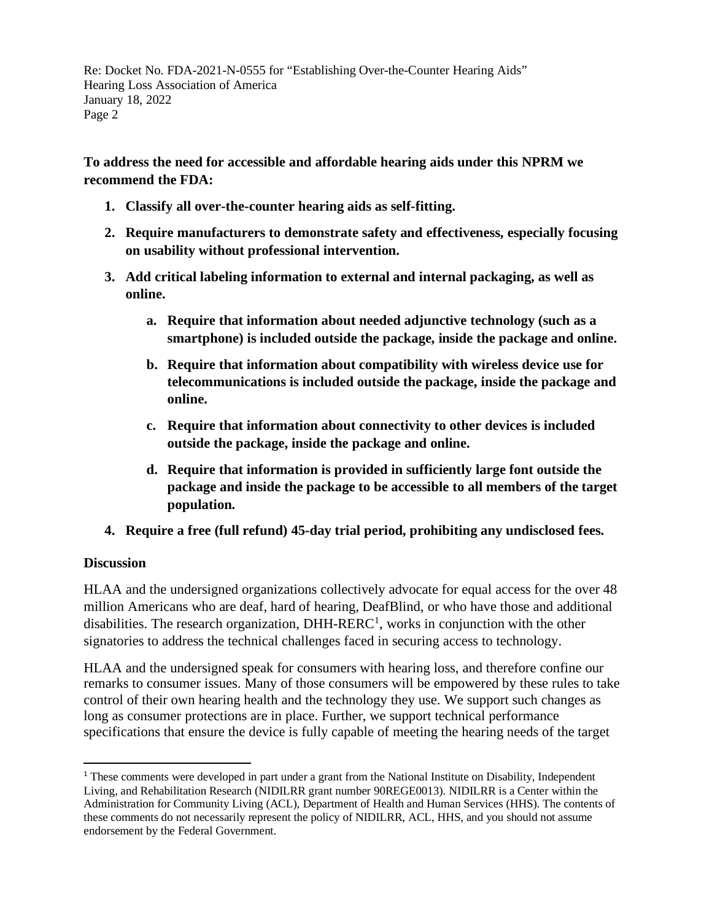**To address the need for accessible and affordable hearing aids under this NPRM we recommend the FDA:** 

- **1. Classify all over-the-counter hearing aids as self-fitting.**
- **2. Require manufacturers to demonstrate safety and effectiveness, especially focusing on usability without professional intervention.**
- **3. Add critical labeling information to external and internal packaging, as well as online.** 
	- **a. Require that information about needed adjunctive technology (such as a smartphone) is included outside the package, inside the package and online.**
	- **b. Require that information about compatibility with wireless device use for telecommunications is included outside the package, inside the package and online.**
	- **c. Require that information about connectivity to other devices is included outside the package, inside the package and online.**
	- **d. Require that information is provided in sufficiently large font outside the package and inside the package to be accessible to all members of the target population.**
- **4. Require a free (full refund) 45-day trial period, prohibiting any undisclosed fees.**

#### **Discussion**

HLAA and the undersigned organizations collectively advocate for equal access for the over 48 million Americans who are deaf, hard of hearing, DeafBlind, or who have those and additional disabilities. The research organization,  $DHH-RERC<sup>1</sup>$  $DHH-RERC<sup>1</sup>$  $DHH-RERC<sup>1</sup>$ , works in conjunction with the other signatories to address the technical challenges faced in securing access to technology.

HLAA and the undersigned speak for consumers with hearing loss, and therefore confine our remarks to consumer issues. Many of those consumers will be empowered by these rules to take control of their own hearing health and the technology they use. We support such changes as long as consumer protections are in place. Further, we support technical performance specifications that ensure the device is fully capable of meeting the hearing needs of the target

<span id="page-1-0"></span><sup>1</sup> These comments were developed in part under a grant from the National Institute on Disability, Independent Living, and Rehabilitation Research (NIDILRR grant number 90REGE0013). NIDILRR is a Center within the Administration for Community Living (ACL), Department of Health and Human Services (HHS). The contents of these comments do not necessarily represent the policy of NIDILRR, ACL, HHS, and you should not assume endorsement by the Federal Government.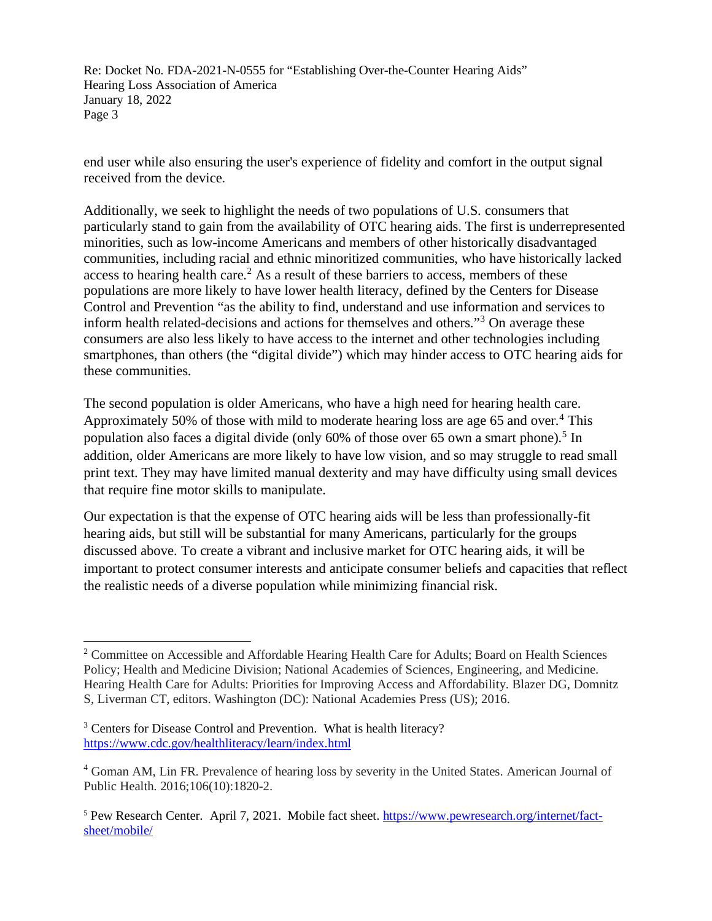end user while also ensuring the user's experience of fidelity and comfort in the output signal received from the device.

Additionally, we seek to highlight the needs of two populations of U.S. consumers that particularly stand to gain from the availability of OTC hearing aids. The first is underrepresented minorities, such as low-income Americans and members of other historically disadvantaged communities, including racial and ethnic minoritized communities, who have historically lacked access to hearing health care.<sup>[2](#page-2-0)</sup> As a result of these barriers to access, members of these populations are more likely to have lower health literacy, defined by the Centers for Disease Control and Prevention "as the ability to find, understand and use information and services to inform health related-decisions and actions for themselves and others."[3](#page-2-1) On average these consumers are also less likely to have access to the internet and other technologies including smartphones, than others (the "digital divide") which may hinder access to OTC hearing aids for these communities.

The second population is older Americans, who have a high need for hearing health care. Approximately 50% of those with mild to moderate hearing loss are age 65 and over.<sup>[4](#page-2-2)</sup> This population also faces a digital divide (only 60% of those over 6[5](#page-2-3) own a smart phone).<sup>5</sup> In addition, older Americans are more likely to have low vision, and so may struggle to read small print text. They may have limited manual dexterity and may have difficulty using small devices that require fine motor skills to manipulate.

Our expectation is that the expense of OTC hearing aids will be less than professionally-fit hearing aids, but still will be substantial for many Americans, particularly for the groups discussed above. To create a vibrant and inclusive market for OTC hearing aids, it will be important to protect consumer interests and anticipate consumer beliefs and capacities that reflect the realistic needs of a diverse population while minimizing financial risk.

<span id="page-2-0"></span><sup>&</sup>lt;sup>2</sup> Committee on Accessible and Affordable Hearing Health Care for Adults; Board on Health Sciences Policy; Health and Medicine Division; National Academies of Sciences, Engineering, and Medicine. Hearing Health Care for Adults: Priorities for Improving Access and Affordability. Blazer DG, Domnitz S, Liverman CT, editors. Washington (DC): National Academies Press (US); 2016.

<span id="page-2-1"></span><sup>&</sup>lt;sup>3</sup> Centers for Disease Control and Prevention. What is health literacy? <https://www.cdc.gov/healthliteracy/learn/index.html>

<span id="page-2-2"></span><sup>4</sup> Goman AM, Lin FR. Prevalence of hearing loss by severity in the United States. American Journal of Public Health. 2016;106(10):1820-2.

<span id="page-2-3"></span><sup>5</sup> Pew Research Center. April 7, 2021. Mobile fact sheet. [https://www.pewresearch.org/internet/fact](https://www.pewresearch.org/internet/fact-sheet/mobile/)[sheet/mobile/](https://www.pewresearch.org/internet/fact-sheet/mobile/)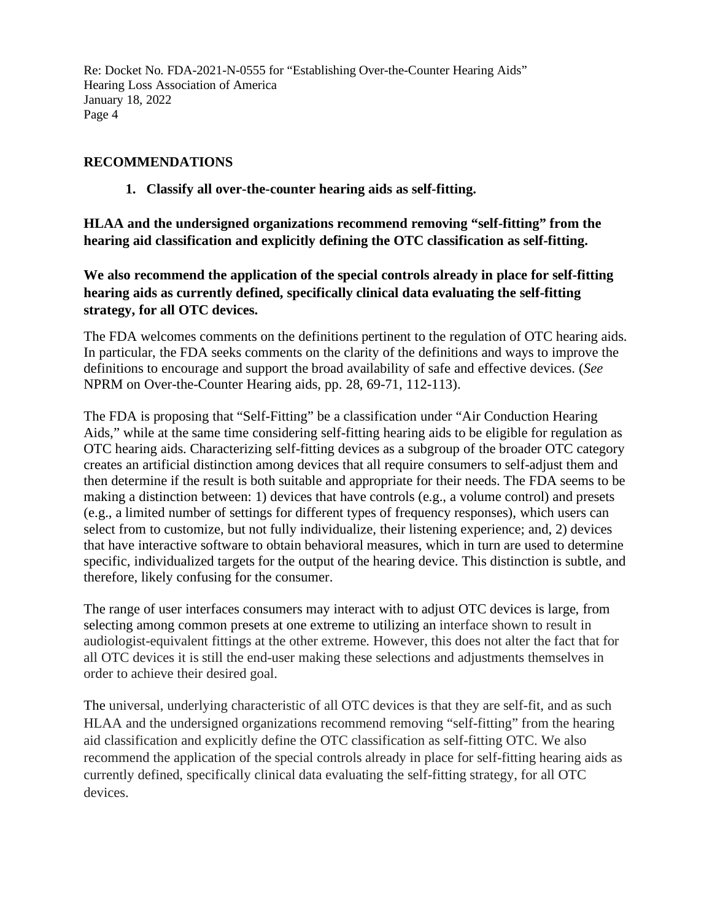#### **RECOMMENDATIONS**

**1. Classify all over-the-counter hearing aids as self-fitting.**

**HLAA and the undersigned organizations recommend removing "self-fitting" from the hearing aid classification and explicitly defining the OTC classification as self-fitting.**

**We also recommend the application of the special controls already in place for self-fitting hearing aids as currently defined, specifically clinical data evaluating the self-fitting strategy, for all OTC devices.** 

The FDA welcomes comments on the definitions pertinent to the regulation of OTC hearing aids. In particular, the FDA seeks comments on the clarity of the definitions and ways to improve the definitions to encourage and support the broad availability of safe and effective devices. (*See* NPRM on Over-the-Counter Hearing aids, pp. 28, 69-71, 112-113).

The FDA is proposing that "Self-Fitting" be a classification under "Air Conduction Hearing Aids," while at the same time considering self-fitting hearing aids to be eligible for regulation as OTC hearing aids. Characterizing self-fitting devices as a subgroup of the broader OTC category creates an artificial distinction among devices that all require consumers to self-adjust them and then determine if the result is both suitable and appropriate for their needs. The FDA seems to be making a distinction between: 1) devices that have controls (e.g., a volume control) and presets (e.g., a limited number of settings for different types of frequency responses), which users can select from to customize, but not fully individualize, their listening experience; and, 2) devices that have interactive software to obtain behavioral measures, which in turn are used to determine specific, individualized targets for the output of the hearing device. This distinction is subtle, and therefore, likely confusing for the consumer.

The range of user interfaces consumers may interact with to adjust OTC devices is large, from selecting among common presets at one extreme to utilizing an interface shown to result in audiologist-equivalent fittings at the other extreme. However, this does not alter the fact that for all OTC devices it is still the end-user making these selections and adjustments themselves in order to achieve their desired goal.

The universal, underlying characteristic of all OTC devices is that they are self-fit, and as such HLAA and the undersigned organizations recommend removing "self-fitting" from the hearing aid classification and explicitly define the OTC classification as self-fitting OTC. We also recommend the application of the special controls already in place for self-fitting hearing aids as currently defined, specifically clinical data evaluating the self-fitting strategy, for all OTC devices.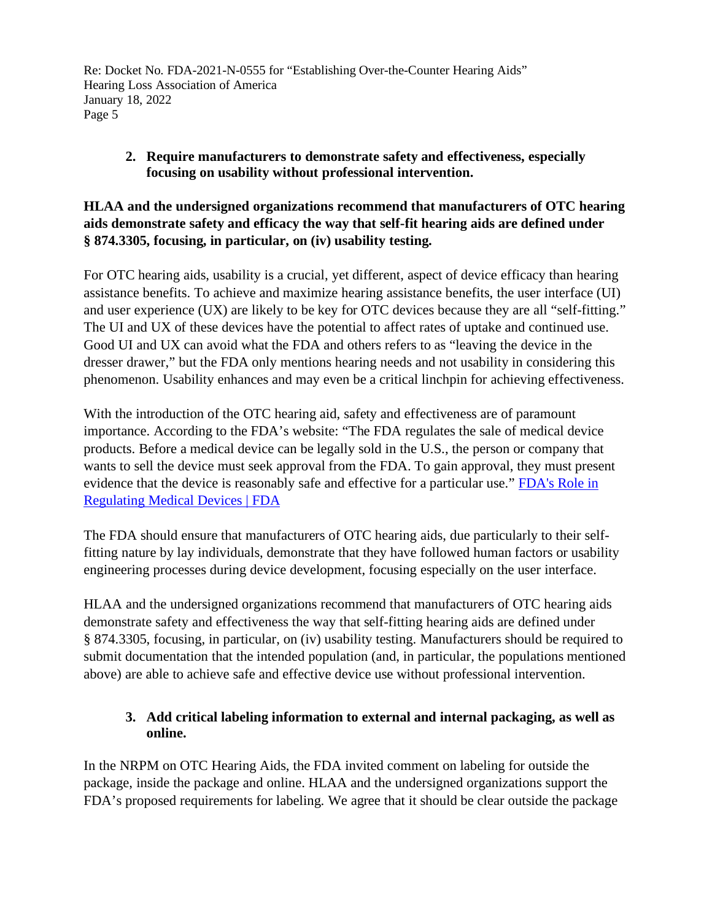# **2. Require manufacturers to demonstrate safety and effectiveness, especially focusing on usability without professional intervention.**

## **HLAA and the undersigned organizations recommend that manufacturers of OTC hearing aids demonstrate safety and efficacy the way that self-fit hearing aids are defined under § 874.3305, focusing, in particular, on (iv) usability testing.**

For OTC hearing aids, usability is a crucial, yet different, aspect of device efficacy than hearing assistance benefits. To achieve and maximize hearing assistance benefits, the user interface (UI) and user experience (UX) are likely to be key for OTC devices because they are all "self-fitting." The UI and UX of these devices have the potential to affect rates of uptake and continued use. Good UI and UX can avoid what the FDA and others refers to as "leaving the device in the dresser drawer," but the FDA only mentions hearing needs and not usability in considering this phenomenon. Usability enhances and may even be a critical linchpin for achieving effectiveness.

With the introduction of the OTC hearing aid, safety and effectiveness are of paramount importance. According to the FDA's website: "The FDA regulates the sale of medical device products. Before a medical device can be legally sold in the U.S., the person or company that wants to sell the device must seek approval from the FDA. To gain approval, they must present evidence that the device is reasonably safe and effective for a particular use." [FDA's Role in](https://www.fda.gov/medical-devices/home-use-devices/fdas-role-regulating-medical-devices)  [Regulating Medical Devices | FDA](https://www.fda.gov/medical-devices/home-use-devices/fdas-role-regulating-medical-devices)

The FDA should ensure that manufacturers of OTC hearing aids, due particularly to their selffitting nature by lay individuals, demonstrate that they have followed human factors or usability engineering processes during device development, focusing especially on the user interface.

HLAA and the undersigned organizations recommend that manufacturers of OTC hearing aids demonstrate safety and effectiveness the way that self-fitting hearing aids are defined under § 874.3305, focusing, in particular, on (iv) usability testing. Manufacturers should be required to submit documentation that the intended population (and, in particular, the populations mentioned above) are able to achieve safe and effective device use without professional intervention.

# **3. Add critical labeling information to external and internal packaging, as well as online.**

In the NRPM on OTC Hearing Aids, the FDA invited comment on labeling for outside the package, inside the package and online. HLAA and the undersigned organizations support the FDA's proposed requirements for labeling. We agree that it should be clear outside the package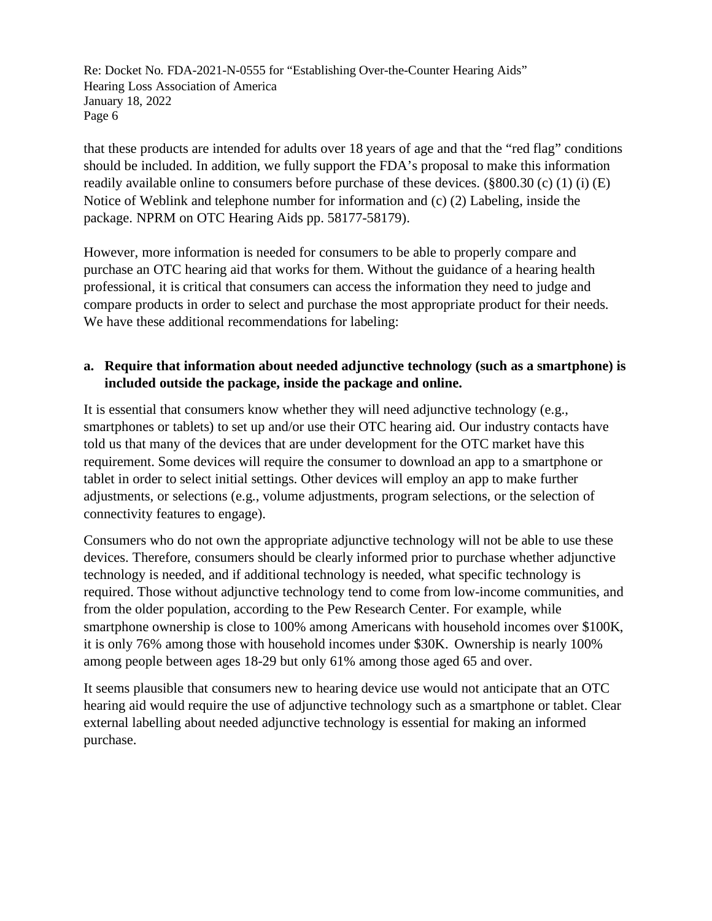that these products are intended for adults over 18 years of age and that the "red flag" conditions should be included. In addition, we fully support the FDA's proposal to make this information readily available online to consumers before purchase of these devices. (§800.30 (c) (1) (i) (E) Notice of Weblink and telephone number for information and (c) (2) Labeling, inside the package. NPRM on OTC Hearing Aids pp. 58177-58179).

However, more information is needed for consumers to be able to properly compare and purchase an OTC hearing aid that works for them. Without the guidance of a hearing health professional, it is critical that consumers can access the information they need to judge and compare products in order to select and purchase the most appropriate product for their needs. We have these additional recommendations for labeling:

#### **a. Require that information about needed adjunctive technology (such as a smartphone) is included outside the package, inside the package and online.**

It is essential that consumers know whether they will need adjunctive technology (e.g., smartphones or tablets) to set up and/or use their OTC hearing aid. Our industry contacts have told us that many of the devices that are under development for the OTC market have this requirement. Some devices will require the consumer to download an app to a smartphone or tablet in order to select initial settings. Other devices will employ an app to make further adjustments, or selections (e.g., volume adjustments, program selections, or the selection of connectivity features to engage).

Consumers who do not own the appropriate adjunctive technology will not be able to use these devices. Therefore, consumers should be clearly informed prior to purchase whether adjunctive technology is needed, and if additional technology is needed, what specific technology is required. Those without adjunctive technology tend to come from low-income communities, and from the older population, according to the Pew Research Center. For example, while smartphone ownership is close to 100% among Americans with household incomes over \$100K, it is only 76% among those with household incomes under \$30K. Ownership is nearly 100% among people between ages 18-29 but only 61% among those aged 65 and over.

It seems plausible that consumers new to hearing device use would not anticipate that an OTC hearing aid would require the use of adjunctive technology such as a smartphone or tablet. Clear external labelling about needed adjunctive technology is essential for making an informed purchase.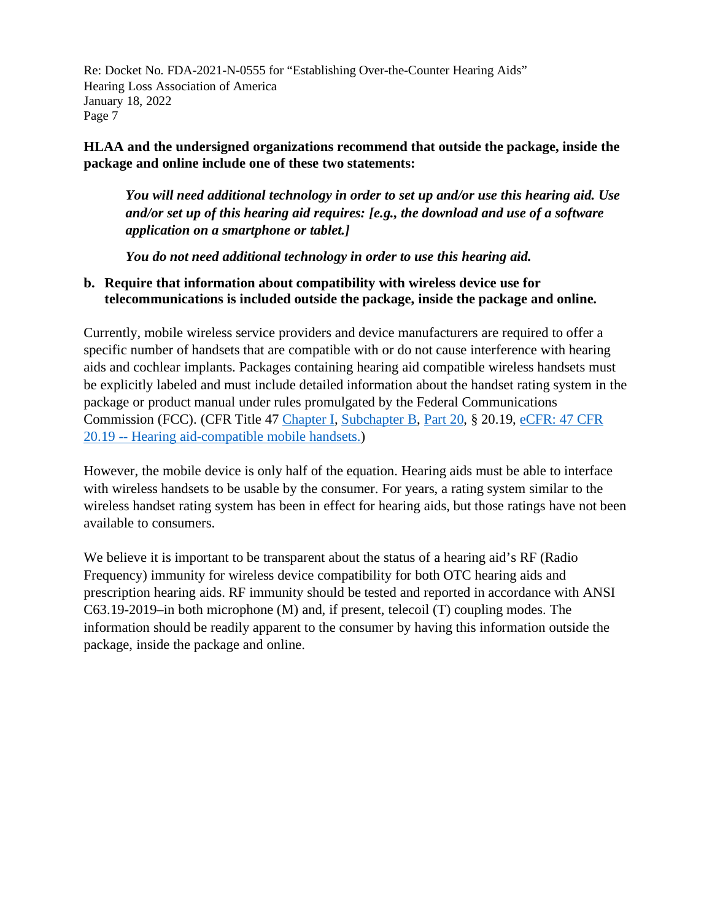**HLAA and the undersigned organizations recommend that outside the package, inside the package and online include one of these two statements:**

*You will need additional technology in order to set up and/or use this hearing aid. Use and/or set up of this hearing aid requires: [e.g., the download and use of a software application on a smartphone or tablet.]*

*You do not need additional technology in order to use this hearing aid.*

#### **b. Require that information about compatibility with wireless device use for telecommunications is included outside the package, inside the package and online.**

Currently, mobile wireless service providers and device manufacturers are required to offer a specific number of handsets that are compatible with or do not cause interference with hearing aids and cochlear implants. Packages containing hearing aid compatible wireless handsets must be explicitly labeled and must include detailed information about the handset rating system in the package or product manual under rules promulgated by the Federal Communications Commission (FCC). (CFR Title 4[7 Chapter I,](https://www.ecfr.gov/current/title-47/chapter-I) [Subchapter B,](https://www.ecfr.gov/current/title-47/chapter-I/subchapter-B) [Part 20,](https://www.ecfr.gov/current/title-47/chapter-I/subchapter-B/part-20?toc=1) § 20.19, [eCFR: 47 CFR](https://www.ecfr.gov/current/title-47/chapter-I/subchapter-B/part-20/section-20.19)  20.19 -- [Hearing aid-compatible mobile handsets.\)](https://www.ecfr.gov/current/title-47/chapter-I/subchapter-B/part-20/section-20.19)

However, the mobile device is only half of the equation. Hearing aids must be able to interface with wireless handsets to be usable by the consumer. For years, a rating system similar to the wireless handset rating system has been in effect for hearing aids, but those ratings have not been available to consumers.

We believe it is important to be transparent about the status of a hearing aid's RF (Radio Frequency) immunity for wireless device compatibility for both OTC hearing aids and prescription hearing aids. RF immunity should be tested and reported in accordance with ANSI C63.19-2019–in both microphone (M) and, if present, telecoil (T) coupling modes. The information should be readily apparent to the consumer by having this information outside the package, inside the package and online.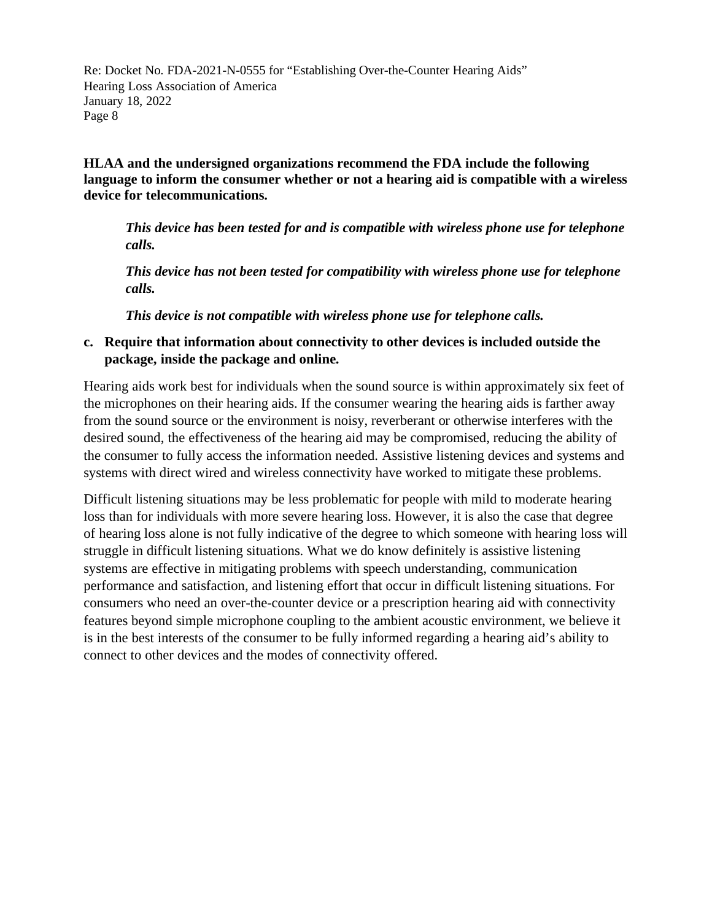**HLAA and the undersigned organizations recommend the FDA include the following language to inform the consumer whether or not a hearing aid is compatible with a wireless device for telecommunications.** 

*This device has been tested for and is compatible with wireless phone use for telephone calls.* 

*This device has not been tested for compatibility with wireless phone use for telephone calls.* 

*This device is not compatible with wireless phone use for telephone calls.* 

## **c. Require that information about connectivity to other devices is included outside the package, inside the package and online.**

Hearing aids work best for individuals when the sound source is within approximately six feet of the microphones on their hearing aids. If the consumer wearing the hearing aids is farther away from the sound source or the environment is noisy, reverberant or otherwise interferes with the desired sound, the effectiveness of the hearing aid may be compromised, reducing the ability of the consumer to fully access the information needed. Assistive listening devices and systems and systems with direct wired and wireless connectivity have worked to mitigate these problems.

Difficult listening situations may be less problematic for people with mild to moderate hearing loss than for individuals with more severe hearing loss. However, it is also the case that degree of hearing loss alone is not fully indicative of the degree to which someone with hearing loss will struggle in difficult listening situations. What we do know definitely is assistive listening systems are effective in mitigating problems with speech understanding, communication performance and satisfaction, and listening effort that occur in difficult listening situations. For consumers who need an over-the-counter device or a prescription hearing aid with connectivity features beyond simple microphone coupling to the ambient acoustic environment, we believe it is in the best interests of the consumer to be fully informed regarding a hearing aid's ability to connect to other devices and the modes of connectivity offered.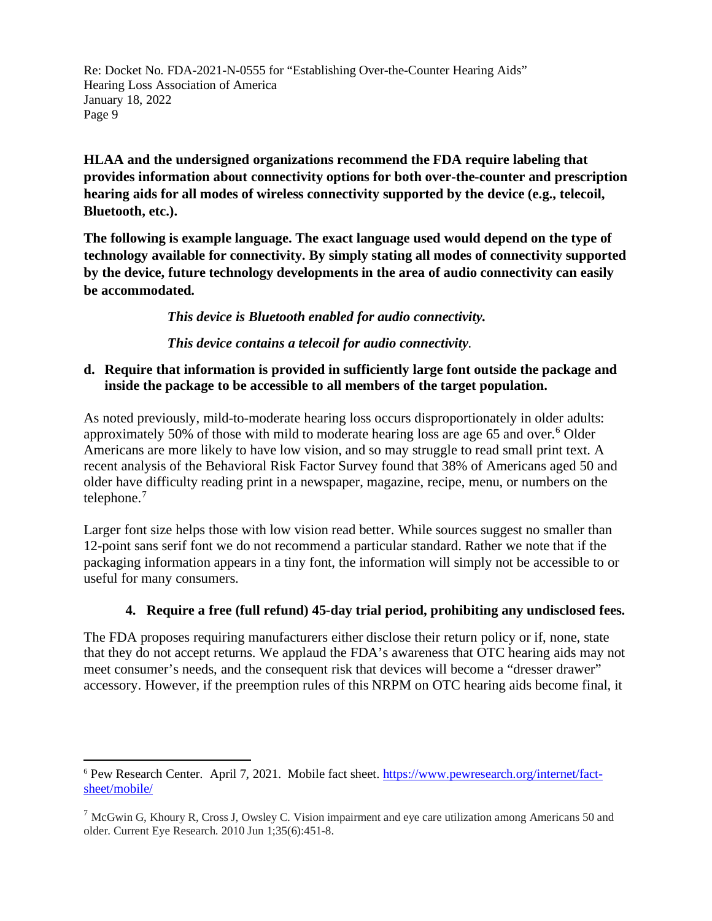**HLAA and the undersigned organizations recommend the FDA require labeling that provides information about connectivity options for both over-the-counter and prescription hearing aids for all modes of wireless connectivity supported by the device (e.g., telecoil, Bluetooth, etc.).** 

**The following is example language. The exact language used would depend on the type of technology available for connectivity. By simply stating all modes of connectivity supported by the device, future technology developments in the area of audio connectivity can easily be accommodated.**

*This device is Bluetooth enabled for audio connectivity.* 

*This device contains a telecoil for audio connectivity.* 

## **d. Require that information is provided in sufficiently large font outside the package and inside the package to be accessible to all members of the target population.**

As noted previously, mild-to-moderate hearing loss occurs disproportionately in older adults: approximately 50% of those with mild to moderate hearing loss are age 65 and over.[6](#page-8-0) Older Americans are more likely to have low vision, and so may struggle to read small print text. A recent analysis of the Behavioral Risk Factor Survey found that 38% of Americans aged 50 and older have difficulty reading print in a newspaper, magazine, recipe, menu, or numbers on the telephone. $<sup>7</sup>$  $<sup>7</sup>$  $<sup>7</sup>$ </sup>

Larger font size helps those with low vision read better. While sources suggest no smaller than 12-point sans serif font we do not recommend a particular standard. Rather we note that if the packaging information appears in a tiny font, the information will simply not be accessible to or useful for many consumers.

# **4. Require a free (full refund) 45-day trial period, prohibiting any undisclosed fees.**

The FDA proposes requiring manufacturers either disclose their return policy or if, none, state that they do not accept returns. We applaud the FDA's awareness that OTC hearing aids may not meet consumer's needs, and the consequent risk that devices will become a "dresser drawer" accessory. However, if the preemption rules of this NRPM on OTC hearing aids become final, it

<span id="page-8-0"></span><sup>6</sup> Pew Research Center. April 7, 2021. Mobile fact sheet. [https://www.pewresearch.org/internet/fact](https://www.pewresearch.org/internet/fact-sheet/mobile/)[sheet/mobile/](https://www.pewresearch.org/internet/fact-sheet/mobile/)

<span id="page-8-1"></span> $<sup>7</sup>$  McGwin G, Khoury R, Cross J, Owsley C. Vision impairment and eye care utilization among Americans 50 and</sup> older. Current Eye Research. 2010 Jun 1;35(6):451-8.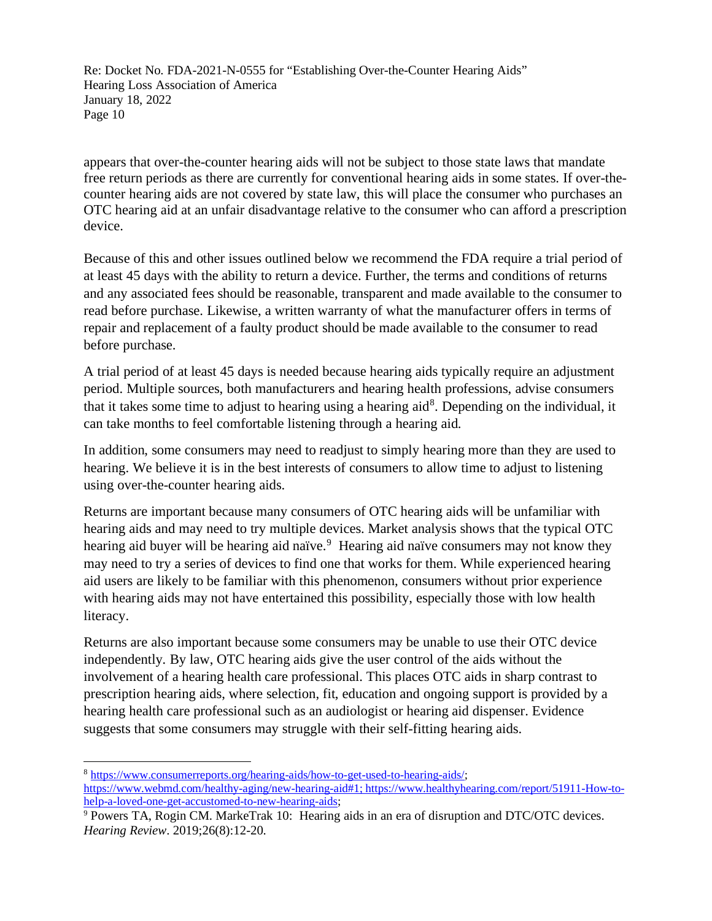appears that over-the-counter hearing aids will not be subject to those state laws that mandate free return periods as there are currently for conventional hearing aids in some states. If over-thecounter hearing aids are not covered by state law, this will place the consumer who purchases an OTC hearing aid at an unfair disadvantage relative to the consumer who can afford a prescription device.

Because of this and other issues outlined below we recommend the FDA require a trial period of at least 45 days with the ability to return a device. Further, the terms and conditions of returns and any associated fees should be reasonable, transparent and made available to the consumer to read before purchase. Likewise, a written warranty of what the manufacturer offers in terms of repair and replacement of a faulty product should be made available to the consumer to read before purchase.

A trial period of at least 45 days is needed because hearing aids typically require an adjustment period. Multiple sources, both manufacturers and hearing health professions, advise consumers that it takes some time to adjust to hearing using a hearing aid<sup>[8](#page-9-0)</sup>. Depending on the individual, it can take months to feel comfortable listening through a hearing aid.

In addition, some consumers may need to readjust to simply hearing more than they are used to hearing. We believe it is in the best interests of consumers to allow time to adjust to listening using over-the-counter hearing aids.

Returns are important because many consumers of OTC hearing aids will be unfamiliar with hearing aids and may need to try multiple devices. Market analysis shows that the typical OTC hearing aid buyer will be hearing aid naïve.<sup>[9](#page-9-1)</sup> Hearing aid naïve consumers may not know they may need to try a series of devices to find one that works for them. While experienced hearing aid users are likely to be familiar with this phenomenon, consumers without prior experience with hearing aids may not have entertained this possibility, especially those with low health literacy.

Returns are also important because some consumers may be unable to use their OTC device independently*.* By law, OTC hearing aids give the user control of the aids without the involvement of a hearing health care professional. This places OTC aids in sharp contrast to prescription hearing aids, where selection, fit, education and ongoing support is provided by a hearing health care professional such as an audiologist or hearing aid dispenser. Evidence suggests that some consumers may struggle with their self-fitting hearing aids.

<span id="page-9-0"></span><sup>8</sup> [https://www.consumerreports.org/hearing-aids/how-to-get-used-to-hearing-aids/;](https://www.consumerreports.org/hearing-aids/how-to-get-used-to-hearing-aids/)

[https://www.webmd.com/healthy-aging/new-hearing-aid#1; https://www.healthyhearing.com/report/51911-How-to](https://www.webmd.com/healthy-aging/new-hearing-aid#1;%20https://www.healthyhearing.com/report/51911-How-to-help-a-loved-one-get-accustomed-to-new-hearing-aids)[help-a-loved-one-get-accustomed-to-new-hearing-aids;](https://www.webmd.com/healthy-aging/new-hearing-aid#1;%20https://www.healthyhearing.com/report/51911-How-to-help-a-loved-one-get-accustomed-to-new-hearing-aids)<br><sup>9</sup> Powers TA, Rogin CM. MarkeTrak 10: Hearing aids in an era of disruption and DTC/OTC devices.

<span id="page-9-1"></span>*Hearing Review*. 2019;26(8):12-20.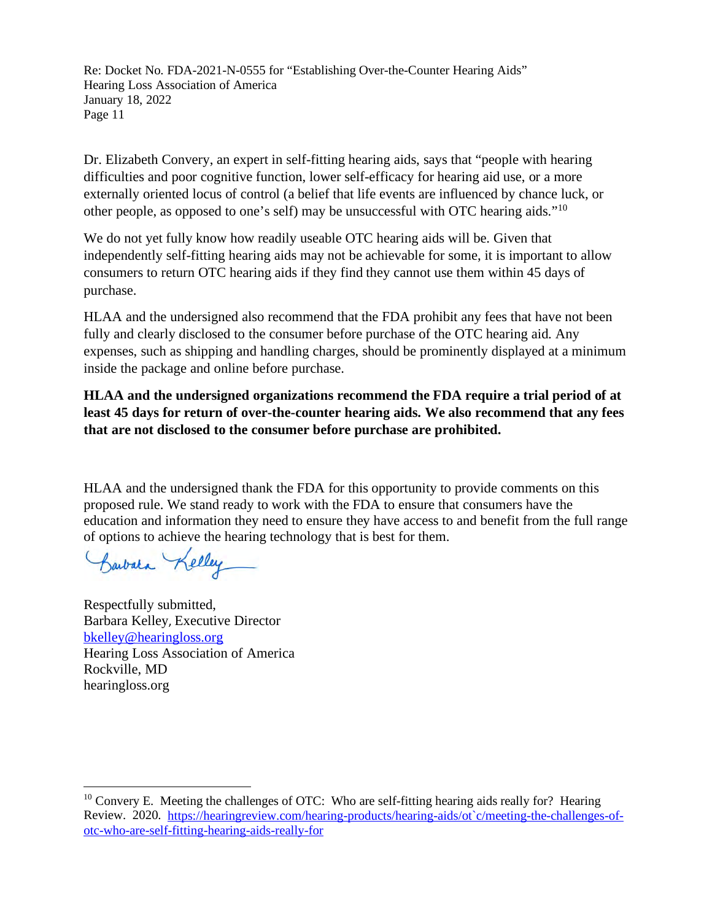Dr. Elizabeth Convery, an expert in self-fitting hearing aids, says that "people with hearing difficulties and poor cognitive function, lower self-efficacy for hearing aid use, or a more externally oriented locus of control (a belief that life events are influenced by chance luck, or other people, as opposed to one's self) may be unsuccessful with OTC hearing aids."[10](#page-10-0)

We do not yet fully know how readily useable OTC hearing aids will be. Given that independently self-fitting hearing aids may not be achievable for some, it is important to allow consumers to return OTC hearing aids if they find they cannot use them within 45 days of purchase.

HLAA and the undersigned also recommend that the FDA prohibit any fees that have not been fully and clearly disclosed to the consumer before purchase of the OTC hearing aid. Any expenses, such as shipping and handling charges, should be prominently displayed at a minimum inside the package and online before purchase.

**HLAA and the undersigned organizations recommend the FDA require a trial period of at least 45 days for return of over-the-counter hearing aids. We also recommend that any fees that are not disclosed to the consumer before purchase are prohibited.** 

HLAA and the undersigned thank the FDA for this opportunity to provide comments on this proposed rule. We stand ready to work with the FDA to ensure that consumers have the education and information they need to ensure they have access to and benefit from the full range of options to achieve the hearing technology that is best for them.

Barbara Kelley

Respectfully submitted, Barbara Kelley, Executive Director [bkelley@hearingloss.org](mailto:bkelley@hearingloss.org) Hearing Loss Association of America Rockville, MD hearingloss.org

<span id="page-10-0"></span> $10$  Convery E. Meeting the challenges of OTC: Who are self-fitting hearing aids really for? Hearing Review. 2020. [https://hearingreview.com/hearing-products/hearing-aids/ot`c/meeting-the-challenges-of](https://hearingreview.com/hearing-products/hearing-aids/ot%60c/meeting-the-challenges-of-otc-who-are-self-fitting-hearing-aids-really-for)[otc-who-are-self-fitting-hearing-aids-really-for](https://hearingreview.com/hearing-products/hearing-aids/ot%60c/meeting-the-challenges-of-otc-who-are-self-fitting-hearing-aids-really-for)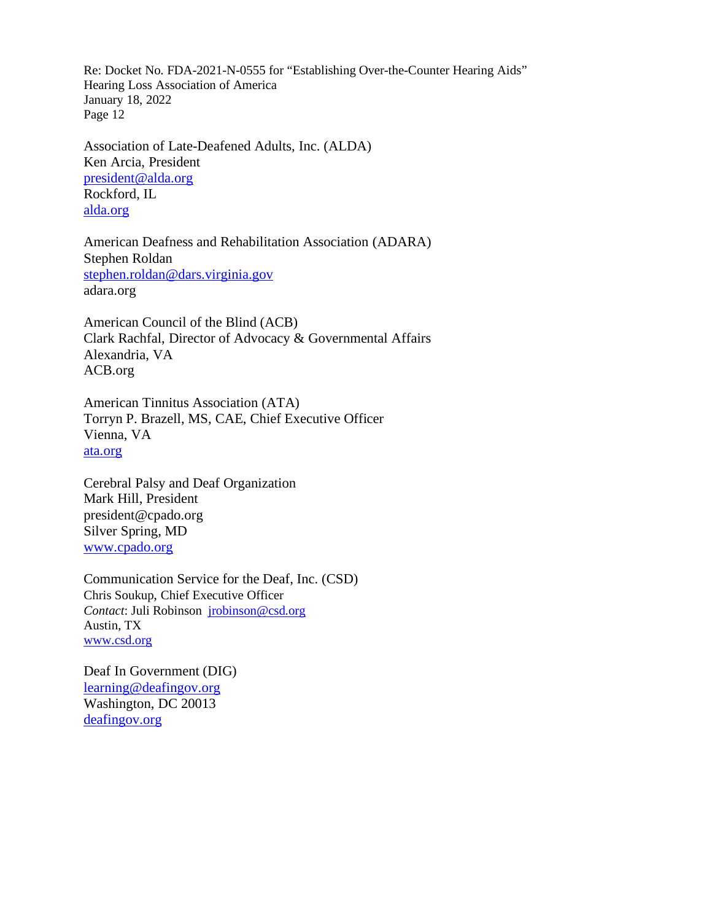Association of Late-Deafened Adults, Inc. (ALDA) Ken Arcia, President [president@alda.org](mailto:president@alda.org) Rockford, IL [alda.org](http://www.alda.org/)

American Deafness and Rehabilitation Association (ADARA) Stephen Roldan [stephen.roldan@dars.virginia.gov](mailto:stephen.roldan@dars.virginia.gov) adara.org

American Council of the Blind (ACB) Clark Rachfal, Director of Advocacy & Governmental Affairs Alexandria, VA ACB.org

American Tinnitus Association (ATA) Torryn P. Brazell, MS, CAE, Chief Executive Officer Vienna, VA [ata.org](http://www.ata.org/)

Cerebral Palsy and Deaf Organization Mark Hill, President president@cpado.org Silver Spring, MD [www.cpado.org](http://www.cpado.org/) 

Communication Service for the Deaf, Inc. (CSD) Chris Soukup, Chief Executive Officer *Contact*: Juli Robinson [jrobinson@csd.org](mailto:jrobinson@csd.org) Austin, TX [www.csd.org](http://www.csd.org/)

Deaf In Government (DIG) [learning@deafingov.org](mailto:learning@deafingov.org) Washington, DC 20013 [deafingov.org](http://www.deafingov.org/)